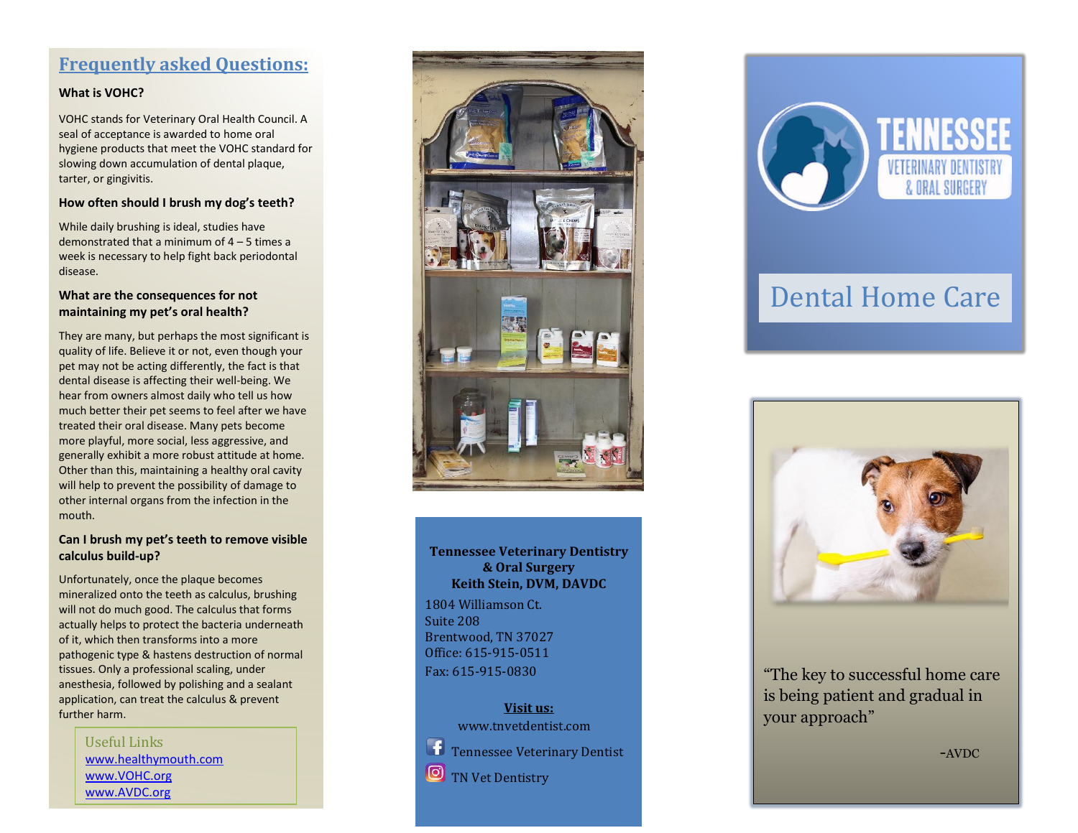## **Frequently asked Questions:**

### **What is VOHC?**

VOHC stands for Veterinary Oral Health Council. A seal of acceptance is awarded to home oral hygiene products that meet the VOHC standard for slowing down accumulation of dental plaque, tarter, or gingivitis.

### **How often should I brush my dog's teeth?**

While daily brushing is ideal, studies have demonstrated that a minimum of 4 – 5 times a week is necessary to help fight back periodontal disease.

### **What are the consequences for not maintaining my pet's oral health?**

They are many, but perhaps the most significant is quality of life. Believe it or not, even though your pet may not be acting differently, the fact is that dental disease is affecting their well-being. We hear from owners almost daily who tell us how much better their pet seems to feel after we have treated their oral disease. Many pets become more playful, more social, less aggressive, and generally exhibit a more robust attitude at home. Other than this, maintaining a healthy oral cavity will help to prevent the possibility of damage to other internal organs from the infection in the mouth.

### **Can I brush my pet's teeth to [remove](http://www.tnvetdentist.com/faqs/can-i-brush-my-pets-teeth-to-remove-visible-calculus-build-up/) visible calculus [build-up?](http://www.tnvetdentist.com/faqs/can-i-brush-my-pets-teeth-to-remove-visible-calculus-build-up/)**

Unfortunately, once the plaque becomes mineralized onto the teeth as calculus, brushing will not do much good. The calculus that forms actually helps to protect the bacteria underneath of it, which then transforms into a more pathogenic type & hastens destruction of normal tissues. Only a professional scaling, under anesthesia, followed by polishing and a sealant application, can treat the calculus & prevent further harm.

> Useful Links [www.healthymouth.com](http://www.healthymouth.com/) [www.VOHC.org](http://www.vohc.org/) www.AVDC.org



### **Tennessee Veterinary Dentistry & Oral Surgery Keith Stein, DVM, DAVDC**

1804 Williamson Ct. Suite 208 Brentwood, TN 37027 Office: 615-915-0511 Fax: 615-915-0830

### **Visit us:**

www.tnvetdentist.com

Tennessee Veterinary Dentist

TN Vet Dentistry



# Dental Home Care



"The key to successful home care is being patient and gradual in your approach"

-AVDC